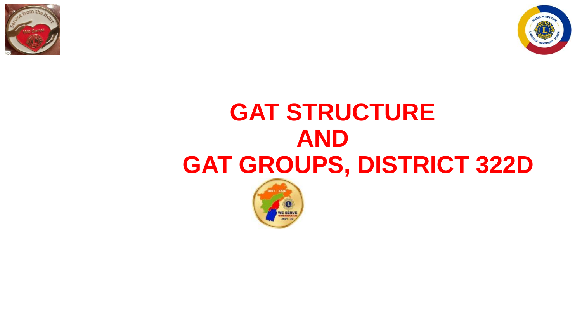



## **GAT STRUCTURE AND GAT GROUPS, DISTRICT 322D**

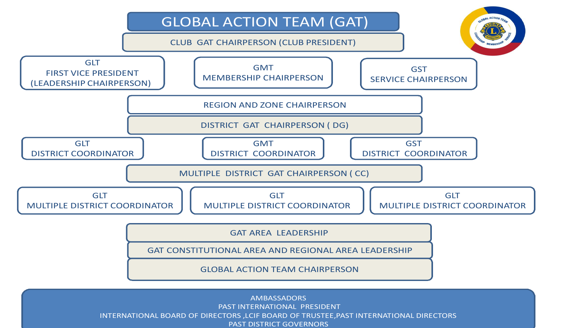

AMBASSADORS PAST INTERNATIONAL PRESIDENT INTERNATIONAL BOARD OF DIRECTORS ,LCIF BOARD OF TRUSTEE,PAST INTERNATIONAL DIRECTORS PAST DISTRICT GOVERNORS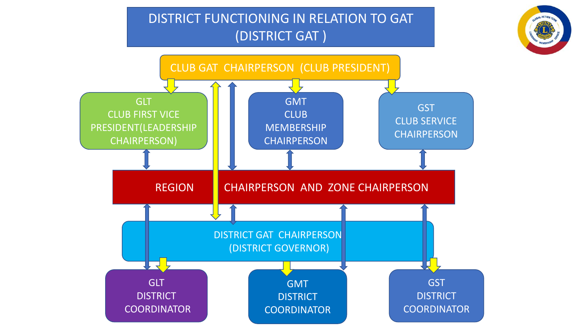## DISTRICT FUNCTIONING IN RELATION TO GAT (DISTRICT GAT )



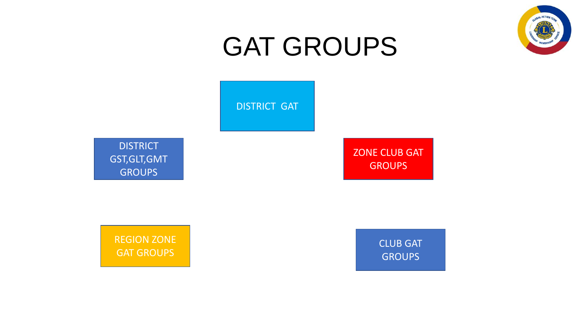

## GAT GROUPS

DISTRICT GAT

**DISTRICT** GST,GLT,GMT **GROUPS** 

ZONE CLUB GAT **GROUPS** 

REGION ZONE GAT GROUPS

CLUB GAT **GROUPS**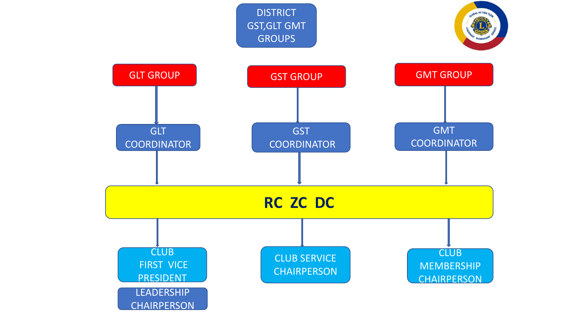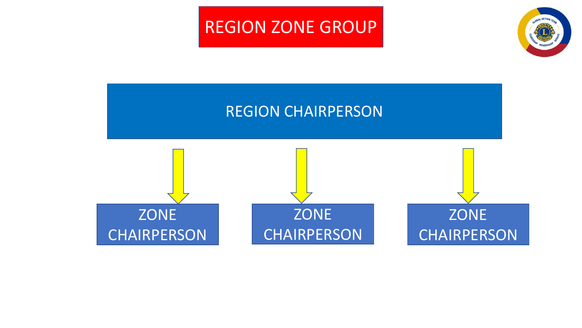## REGION ZONE GROUP



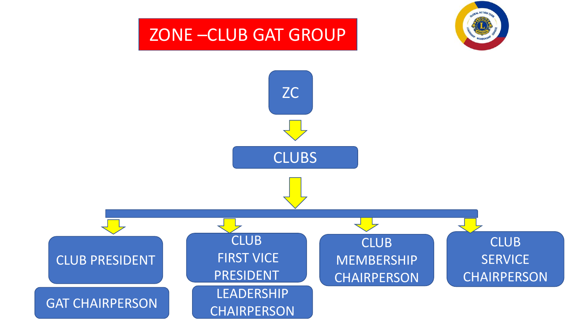